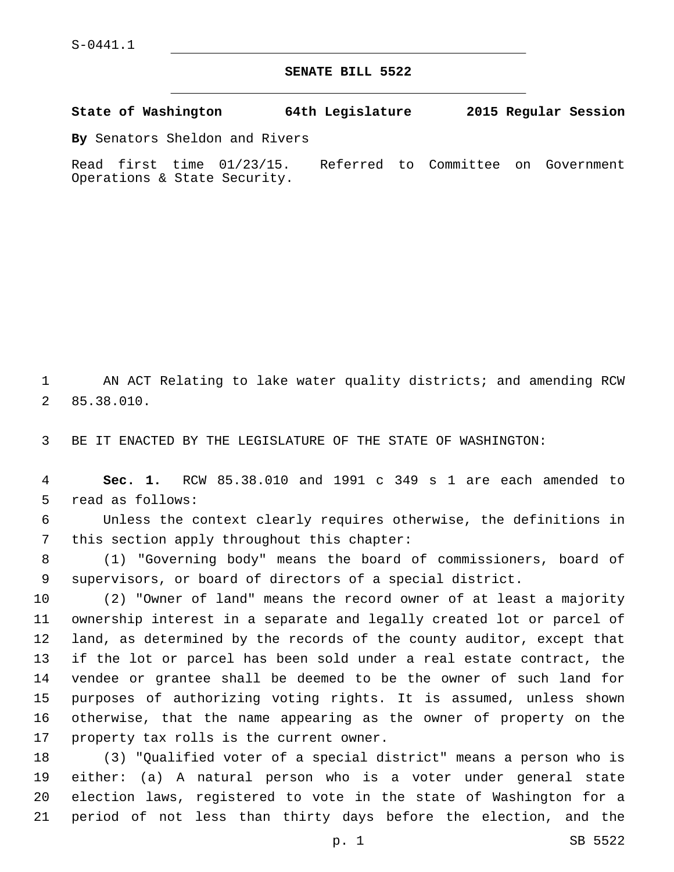S-0441.1

## **SENATE BILL 5522**

**State of Washington 64th Legislature 2015 Regular Session**

**By** Senators Sheldon and Rivers

Read first time 01/23/15. Referred to Committee on Government Operations & State Security.

1 AN ACT Relating to lake water quality districts; and amending RCW 85.38.010.2

3 BE IT ENACTED BY THE LEGISLATURE OF THE STATE OF WASHINGTON:

4 **Sec. 1.** RCW 85.38.010 and 1991 c 349 s 1 are each amended to 5 read as follows:

6 Unless the context clearly requires otherwise, the definitions in 7 this section apply throughout this chapter:

8 (1) "Governing body" means the board of commissioners, board of 9 supervisors, or board of directors of a special district.

 (2) "Owner of land" means the record owner of at least a majority ownership interest in a separate and legally created lot or parcel of land, as determined by the records of the county auditor, except that if the lot or parcel has been sold under a real estate contract, the vendee or grantee shall be deemed to be the owner of such land for purposes of authorizing voting rights. It is assumed, unless shown otherwise, that the name appearing as the owner of property on the 17 property tax rolls is the current owner.

 (3) "Qualified voter of a special district" means a person who is either: (a) A natural person who is a voter under general state election laws, registered to vote in the state of Washington for a period of not less than thirty days before the election, and the